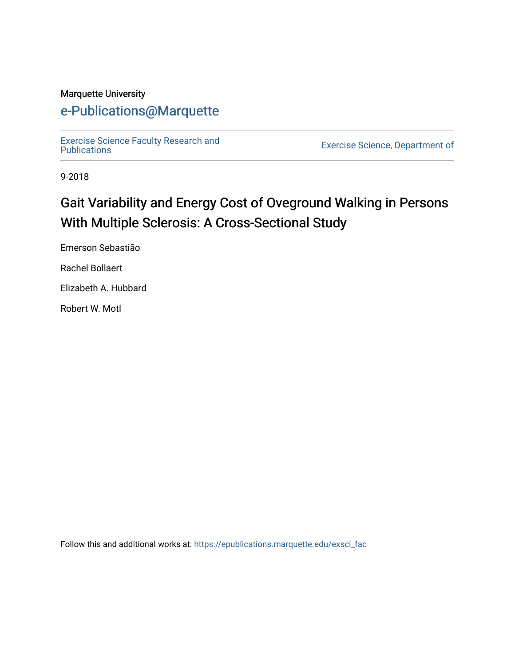### Marquette University

# [e-Publications@Marquette](https://epublications.marquette.edu/)

[Exercise Science Faculty Research and](https://epublications.marquette.edu/exsci_fac)

Exercise Science, Department of

9-2018

# Gait Variability and Energy Cost of Oveground Walking in Persons With Multiple Sclerosis: A Cross-Sectional Study

Emerson Sebastião

Rachel Bollaert

Elizabeth A. Hubbard

Robert W. Motl

Follow this and additional works at: [https://epublications.marquette.edu/exsci\\_fac](https://epublications.marquette.edu/exsci_fac?utm_source=epublications.marquette.edu%2Fexsci_fac%2F158&utm_medium=PDF&utm_campaign=PDFCoverPages)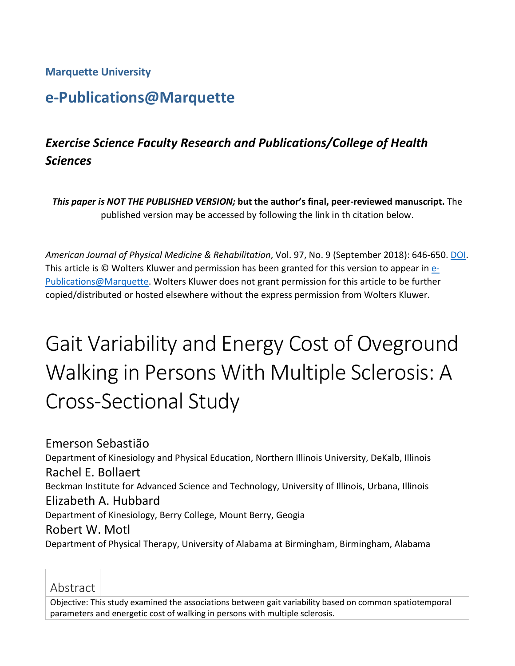**Marquette University**

# **e-Publications@Marquette**

# *Exercise Science Faculty Research and Publications/College of Health Sciences*

*This paper is NOT THE PUBLISHED VERSION;* **but the author's final, peer-reviewed manuscript.** The published version may be accessed by following the link in th citation below.

*American Journal of Physical Medicine & Rehabilitation*, Vol. 97, No. 9 (September 2018): 646-650. [DOI.](https://doi.org/10.1097/PHM.0000000000000935) This article is © Wolters Kluwer and permission has been granted for this version to appear in [e-](http://epublications.marquette.edu/)[Publications@Marquette.](http://epublications.marquette.edu/) Wolters Kluwer does not grant permission for this article to be further copied/distributed or hosted elsewhere without the express permission from Wolters Kluwer.

# Gait Variability and Energy Cost of Oveground Walking in Persons With Multiple Sclerosis: A Cross-Sectional Study

Emerson Sebastião Department of Kinesiology and Physical Education, Northern Illinois University, DeKalb, Illinois Rachel E. Bollaert Beckman Institute for Advanced Science and Technology, University of Illinois, Urbana, Illinois Elizabeth A. Hubbard Department of Kinesiology, Berry College, Mount Berry, Geogia Robert W. Motl Department of Physical Therapy, University of Alabama at Birmingham, Birmingham, Alabama

# Abstract

Objective: This study examined the associations between gait variability based on common spatiotemporal parameters and energetic cost of walking in persons with multiple sclerosis.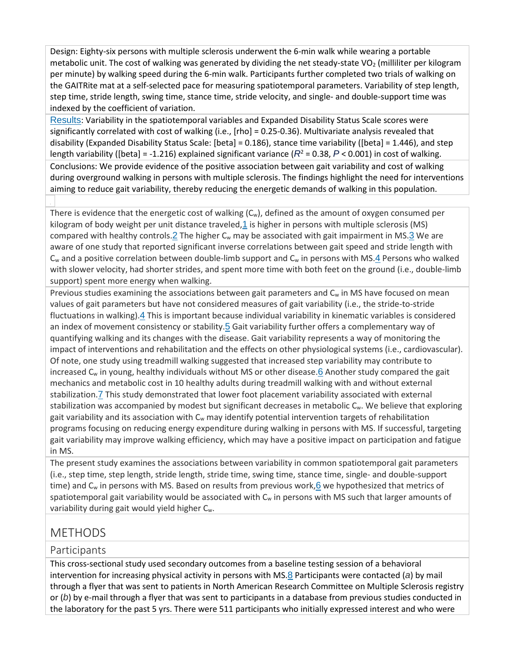Design: Eighty-six persons with multiple sclerosis underwent the 6-min walk while wearing a portable metabolic unit. The cost of walking was generated by dividing the net steady-state VO<sub>2</sub> (milliliter per kilogram per minute) by walking speed during the 6-min walk. Participants further completed two trials of walking on the GAITRite mat at a self-selected pace for measuring spatiotemporal parameters. Variability of step length, step time, stride length, swing time, stance time, stride velocity, and single- and double-support time was indexed by the coefficient of variation.

[Results](http://0-ovidsp.dc2.ovid.com.libus.csd.mu.edu/sp-4.02.1a/ovidweb.cgi?&S=GEDDFPAOPMEBBGFJIPCKAGOGGNLJAA00&Link+Set=S.sh.22.23.27.31%7c5%7csl_10&Counter5=TOC_article%7c00002060-201809000-00005%7covft%7covftdb%7covftt#34): Variability in the spatiotemporal variables and Expanded Disability Status Scale scores were significantly correlated with cost of walking (i.e., [rho] = 0.25-0.36). Multivariate analysis revealed that disability (Expanded Disability Status Scale: [beta] = 0.186), stance time variability ([beta] = 1.446), and step length variability ([beta] = -1.216) explained significant variance ( $R^2$  = 0.38,  $P$  < 0.001) in cost of walking. Conclusions: We provide evidence of the positive association between gait variability and cost of walking during overground walking in persons with multiple sclerosis. The findings highlight the need for interventions aiming to reduce gait variability, thereby reducing the energetic demands of walking in this population.

There is evidence that the energetic cost of walking  $(C_w)$ , defined as the amount of oxygen consumed per kilogram of body weight per unit distance traveled, $1$  is higher in persons with multiple sclerosis (MS) compared with healthy controls. $2$  The higher  $C_w$  may be associated with gait impairment in MS. $3$  We are aware of one study that reported significant inverse correlations between gait speed and stride length with  $C_w$  and a positive correlation between double-limb support and  $C_w$  in persons with MS.[4](http://0-ovidsp.dc2.ovid.com.libus.csd.mu.edu/sp-4.02.1a/ovidweb.cgi?&S=GEDDFPAOPMEBBGFJIPCKAGOGGNLJAA00&Link+Set=S.sh.22.23.27.31%7c5%7csl_10&Counter5=TOC_article%7c00002060-201809000-00005%7covft%7covftdb%7covftt#52) Persons who walked with slower velocity, had shorter strides, and spent more time with both feet on the ground (i.e., double-limb support) spent more energy when walking.

Previous studies examining the associations between gait parameters and C<sub>w</sub> in MS have focused on mean values of gait parameters but have not considered measures of gait variability (i.e., the stride-to-stride fluctuations in walking).[4](http://0-ovidsp.dc2.ovid.com.libus.csd.mu.edu/sp-4.02.1a/ovidweb.cgi?&S=GEDDFPAOPMEBBGFJIPCKAGOGGNLJAA00&Link+Set=S.sh.22.23.27.31%7c5%7csl_10&Counter5=TOC_article%7c00002060-201809000-00005%7covft%7covftdb%7covftt#52) This is important because individual variability in kinematic variables is considered an index of movement consistency or stability.<sup>[5](http://0-ovidsp.dc2.ovid.com.libus.csd.mu.edu/sp-4.02.1a/ovidweb.cgi?&S=GEDDFPAOPMEBBGFJIPCKAGOGGNLJAA00&Link+Set=S.sh.22.23.27.31%7c5%7csl_10&Counter5=TOC_article%7c00002060-201809000-00005%7covft%7covftdb%7covftt#53)</sup> Gait variability further offers a complementary way of quantifying walking and its changes with the disease. Gait variability represents a way of monitoring the impact of interventions and rehabilitation and the effects on other physiological systems (i.e., cardiovascular). Of note, one study using treadmill walking suggested that increased step variability may contribute to increased  $C_w$  in young, healthy individuals without MS or other disease.[6](http://0-ovidsp.dc2.ovid.com.libus.csd.mu.edu/sp-4.02.1a/ovidweb.cgi?&S=GEDDFPAOPMEBBGFJIPCKAGOGGNLJAA00&Link+Set=S.sh.22.23.27.31%7c5%7csl_10&Counter5=TOC_article%7c00002060-201809000-00005%7covft%7covftdb%7covftt#54) Another study compared the gait mechanics and metabolic cost in 10 healthy adults during treadmill walking with and without external stabilization.[7](http://0-ovidsp.dc2.ovid.com.libus.csd.mu.edu/sp-4.02.1a/ovidweb.cgi?&S=GEDDFPAOPMEBBGFJIPCKAGOGGNLJAA00&Link+Set=S.sh.22.23.27.31%7c5%7csl_10&Counter5=TOC_article%7c00002060-201809000-00005%7covft%7covftdb%7covftt#55) This study demonstrated that lower foot placement variability associated with external stabilization was accompanied by modest but significant decreases in metabolic C<sub>w</sub>. We believe that exploring gait variability and its association with  $C_w$  may identify potential intervention targets of rehabilitation programs focusing on reducing energy expenditure during walking in persons with MS. If successful, targeting gait variability may improve walking efficiency, which may have a positive impact on participation and fatigue in MS.

The present study examines the associations between variability in common spatiotemporal gait parameters (i.e., step time, step length, stride length, stride time, swing time, stance time, single- and double-support time) and  $C_w$  in persons with MS. Based on results from previous work, $6$  we hypothesized that metrics of spatiotemporal gait variability would be associated with  $C_w$  in persons with MS such that larger amounts of variability during gait would yield higher C<sub>w</sub>.

# METHODS

## Participants

This cross-sectional study used secondary outcomes from a baseline testing session of a behavioral intervention for increasing physical activity in persons with MS.[8](http://0-ovidsp.dc2.ovid.com.libus.csd.mu.edu/sp-4.02.1a/ovidweb.cgi?&S=GEDDFPAOPMEBBGFJIPCKAGOGGNLJAA00&Link+Set=S.sh.22.23.27.31%7c5%7csl_10&Counter5=TOC_article%7c00002060-201809000-00005%7covft%7covftdb%7covftt#56) Participants were contacted (*a*) by mail through a flyer that was sent to patients in North American Research Committee on Multiple Sclerosis registry or (*b*) by e-mail through a flyer that was sent to participants in a database from previous studies conducted in the laboratory for the past 5 yrs. There were 511 participants who initially expressed interest and who were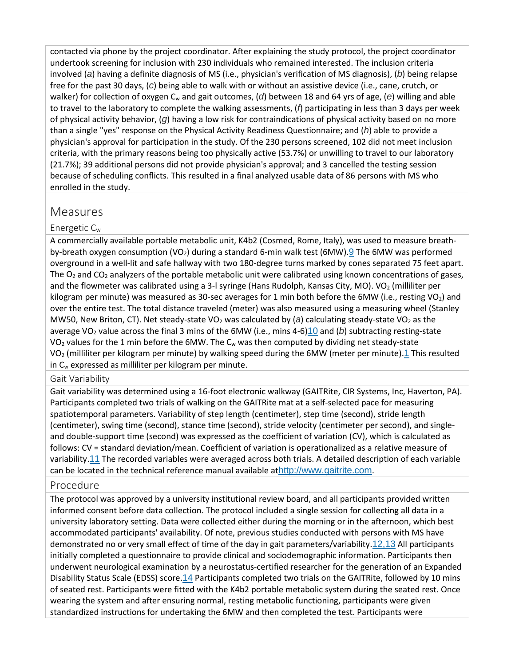contacted via phone by the project coordinator. After explaining the study protocol, the project coordinator undertook screening for inclusion with 230 individuals who remained interested. The inclusion criteria involved (*a*) having a definite diagnosis of MS (i.e., physician's verification of MS diagnosis), (*b*) being relapse free for the past 30 days, (*c*) being able to walk with or without an assistive device (i.e., cane, crutch, or walker) for collection of oxygen C<sub>w</sub> and gait outcomes, (d) between 18 and 64 yrs of age, (e) willing and able to travel to the laboratory to complete the walking assessments, (*f*) participating in less than 3 days per week of physical activity behavior, (*g*) having a low risk for contraindications of physical activity based on no more than a single "yes" response on the Physical Activity Readiness Questionnaire; and (*h*) able to provide a physician's approval for participation in the study. Of the 230 persons screened, 102 did not meet inclusion criteria, with the primary reasons being too physically active (53.7%) or unwilling to travel to our laboratory (21.7%); 39 additional persons did not provide physician's approval; and 3 cancelled the testing session because of scheduling conflicts. This resulted in a final analyzed usable data of 86 persons with MS who enrolled in the study.

## Measures

#### Energetic  $C_w$

A commercially available portable metabolic unit, K4b2 (Cosmed, Rome, Italy), was used to measure breathby-breath oxygen consumption (VO<sub>2</sub>) during a standard 6-min walk test (6MW). **[9](http://0-ovidsp.dc2.ovid.com.libus.csd.mu.edu/sp-4.02.1a/ovidweb.cgi?&S=GEDDFPAOPMEBBGFJIPCKAGOGGNLJAA00&Link+Set=S.sh.22.23.27.31%7c5%7csl_10&Counter5=TOC_article%7c00002060-201809000-00005%7covft%7covftdb%7covftt#57)** The 6MW was performed overground in a well-lit and safe hallway with two 180-degree turns marked by cones separated 75 feet apart. The  $O_2$  and  $CO_2$  analyzers of the portable metabolic unit were calibrated using known concentrations of gases, and the flowmeter was calibrated using a 3-l syringe (Hans Rudolph, Kansas City, MO). VO<sub>2</sub> (milliliter per kilogram per minute) was measured as 30-sec averages for 1 min both before the 6MW (i.e., resting  $VO<sub>2</sub>$ ) and over the entire test. The total distance traveled (meter) was also measured using a measuring wheel (Stanley MW50, New Briton, CT). Net steady-state VO<sub>2</sub> was calculated by (*a*) calculating steady-state VO<sub>2</sub> as the average VO2 value across the final 3 mins of the 6MW (i.e., mins 4-6)[10](http://0-ovidsp.dc2.ovid.com.libus.csd.mu.edu/sp-4.02.1a/ovidweb.cgi?&S=GEDDFPAOPMEBBGFJIPCKAGOGGNLJAA00&Link+Set=S.sh.22.23.27.31%7c5%7csl_10&Counter5=TOC_article%7c00002060-201809000-00005%7covft%7covftdb%7covftt#58) and (*b*) subtracting resting-state  $VO<sub>2</sub>$  values for the 1 min before the 6MW. The  $C<sub>w</sub>$  was then computed by dividing net steady-state  $VO<sub>2</sub>$  (milliliter per kilogram per minute) by walking speed during the 6MW (meter per minute).[1](http://0-ovidsp.dc2.ovid.com.libus.csd.mu.edu/sp-4.02.1a/ovidweb.cgi?&S=GEDDFPAOPMEBBGFJIPCKAGOGGNLJAA00&Link+Set=S.sh.22.23.27.31%7c5%7csl_10&Counter5=TOC_article%7c00002060-201809000-00005%7covft%7covftdb%7covftt#49) This resulted in  $C_w$  expressed as milliliter per kilogram per minute.

#### Gait Variability

Gait variability was determined using a 16-foot electronic walkway (GAITRite, CIR Systems, Inc, Haverton, PA). Participants completed two trials of walking on the GAITRite mat at a self-selected pace for measuring spatiotemporal parameters. Variability of step length (centimeter), step time (second), stride length (centimeter), swing time (second), stance time (second), stride velocity (centimeter per second), and singleand double-support time (second) was expressed as the coefficient of variation (CV), which is calculated as follows: CV = standard deviation/mean. Coefficient of variation is operationalized as a relative measure of variability.[11](http://0-ovidsp.dc2.ovid.com.libus.csd.mu.edu/sp-4.02.1a/ovidweb.cgi?&S=GEDDFPAOPMEBBGFJIPCKAGOGGNLJAA00&Link+Set=S.sh.22.23.27.31%7c5%7csl_10&Counter5=TOC_article%7c00002060-201809000-00005%7covft%7covftdb%7covftt#59) The recorded variables were averaged across both trials. A detailed description of each variable can be located in the technical reference manual available at[http://www.gaitrite.com](http://www.gaitrite.com/).

#### Procedure

The protocol was approved by a university institutional review board, and all participants provided written informed consent before data collection. The protocol included a single session for collecting all data in a university laboratory setting. Data were collected either during the morning or in the afternoon, which best accommodated participants' availability. Of note, previous studies conducted with persons with MS have demonstrated no or very small effect of time of the day in gait parameters/variability.[12,13](http://0-ovidsp.dc2.ovid.com.libus.csd.mu.edu/sp-4.02.1a/ovidweb.cgi?&S=GEDDFPAOPMEBBGFJIPCKAGOGGNLJAA00&Link+Set=S.sh.22.23.27.31%7c5%7csl_10&Counter5=TOC_article%7c00002060-201809000-00005%7covft%7covftdb%7covftt#60) All participants initially completed a questionnaire to provide clinical and sociodemographic information. Participants then underwent neurological examination by a neurostatus-certified researcher for the generation of an Expanded Disability Status Scale (EDSS) score.[14](http://0-ovidsp.dc2.ovid.com.libus.csd.mu.edu/sp-4.02.1a/ovidweb.cgi?&S=GEDDFPAOPMEBBGFJIPCKAGOGGNLJAA00&Link+Set=S.sh.22.23.27.31%7c5%7csl_10&Counter5=TOC_article%7c00002060-201809000-00005%7covft%7covftdb%7covftt#62) Participants completed two trials on the GAITRite, followed by 10 mins of seated rest. Participants were fitted with the K4b2 portable metabolic system during the seated rest. Once wearing the system and after ensuring normal, resting metabolic functioning, participants were given standardized instructions for undertaking the 6MW and then completed the test. Participants were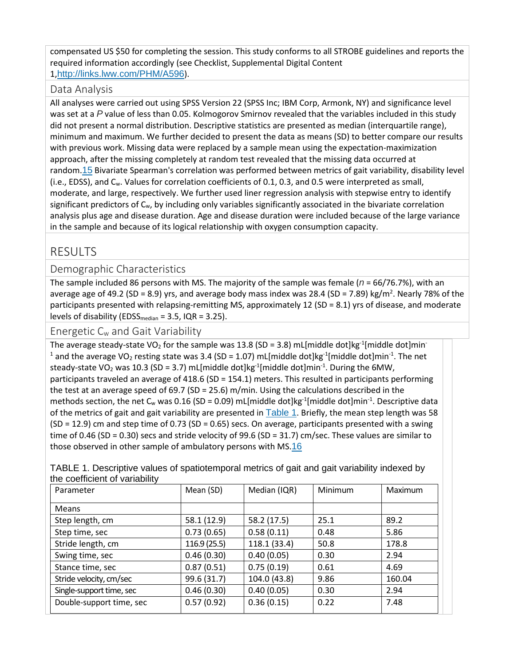compensated US \$50 for completing the session. This study conforms to all STROBE guidelines and reports the required information accordingly (see Checklist, Supplemental Digital Content 1,<http://links.lww.com/PHM/A596>).

#### Data Analysis

All analyses were carried out using SPSS Version 22 (SPSS Inc; IBM Corp, Armonk, NY) and significance level was set at a *P* value of less than 0.05. Kolmogorov Smirnov revealed that the variables included in this study did not present a normal distribution. Descriptive statistics are presented as median (interquartile range), minimum and maximum. We further decided to present the data as means (SD) to better compare our results with previous work. Missing data were replaced by a sample mean using the expectation-maximization approach, after the missing completely at random test revealed that the missing data occurred at random.[15](http://0-ovidsp.dc2.ovid.com.libus.csd.mu.edu/sp-4.02.1a/ovidweb.cgi?&S=GEDDFPAOPMEBBGFJIPCKAGOGGNLJAA00&Link+Set=S.sh.22.23.27.31%7c5%7csl_10&Counter5=TOC_article%7c00002060-201809000-00005%7covft%7covftdb%7covftt#63) Bivariate Spearman's correlation was performed between metrics of gait variability, disability level (i.e., EDSS), and Cw. Values for correlation coefficients of 0.1, 0.3, and 0.5 were interpreted as small, moderate, and large, respectively. We further used liner regression analysis with stepwise entry to identify significant predictors of C<sub>w</sub>, by including only variables significantly associated in the bivariate correlation analysis plus age and disease duration. Age and disease duration were included because of the large variance in the sample and because of its logical relationship with oxygen consumption capacity.

# RESULTS

#### Demographic Characteristics

The sample included 86 persons with MS. The majority of the sample was female (*n* = 66/76.7%), with an average age of 49.2 (SD = 8.9) yrs, and average body mass index was 28.4 (SD = 7.89) kg/m<sup>2</sup>. Nearly 78% of the participants presented with relapsing-remitting MS, approximately 12 (SD = 8.1) yrs of disease, and moderate levels of disability ( $EDSS_{median} = 3.5$ ,  $IQR = 3.25$ ).

Energetic Cw and Gait Variability

The average steady-state VO<sub>2</sub> for the sample was 13.8 (SD = 3.8) mL[middle dot]kg<sup>-1</sup>[middle dot]min<sup>-</sup> <sup>1</sup> and the average VO<sub>2</sub> resting state was 3.4 (SD = 1.07) mL[middle dot]kg<sup>-1</sup>[middle dot]min<sup>-1</sup>. The net steady-state VO<sub>2</sub> was 10.3 (SD = 3.7) mL[middle dot]kg<sup>-1</sup>[middle dot]min<sup>-1</sup>. During the 6MW, participants traveled an average of 418.6 (SD = 154.1) meters. This resulted in participants performing the test at an average speed of 69.7 (SD = 25.6) m/min. Using the calculations described in the methods section, the net  $C_w$  was 0.16 (SD = 0.09) mL[middle dot]kg<sup>-1</sup>[middle dot]min<sup>-1</sup>. Descriptive data of the metrics of gait and gait variability are presented in [Table 1](http://0-ovidsp.dc2.ovid.com.libus.csd.mu.edu/sp-4.02.1a/ovidweb.cgi?&S=GEDDFPAOPMEBBGFJIPCKAGOGGNLJAA00&Link+Set=S.sh.22.23.27.31%7c5%7csl_10&Counter5=TOC_article%7c00002060-201809000-00005%7covft%7covftdb%7covftt#TT1). Briefly, the mean step length was 58  $(SD = 12.9)$  cm and step time of 0.73  $(SD = 0.65)$  secs. On average, participants presented with a swing time of 0.46 (SD = 0.30) secs and stride velocity of 99.6 (SD = 31.7) cm/sec. These values are similar to those observed in other sample of ambulatory persons with MS.[16](http://0-ovidsp.dc2.ovid.com.libus.csd.mu.edu/sp-4.02.1a/ovidweb.cgi?&S=GEDDFPAOPMEBBGFJIPCKAGOGGNLJAA00&Link+Set=S.sh.22.23.27.31%7c5%7csl_10&Counter5=TOC_article%7c00002060-201809000-00005%7covft%7covftdb%7covftt#64)

| TABLE 1. Descriptive values of spatiotemporal metrics of gait and gait variability indexed by |           |              |         |         |
|-----------------------------------------------------------------------------------------------|-----------|--------------|---------|---------|
| the coefficient of variability                                                                |           |              |         |         |
| I Parameter                                                                                   | Mean (SD) | Median (IOR) | Minimum | Maximum |

| Parameter                | Mean (SD)   | Median (IQR) | Minimum | Maximum |
|--------------------------|-------------|--------------|---------|---------|
| <b>Means</b>             |             |              |         |         |
| Step length, cm          | 58.1 (12.9) | 58.2 (17.5)  | 25.1    | 89.2    |
| Step time, sec           | 0.73(0.65)  | 0.58(0.11)   | 0.48    | 5.86    |
| Stride length, cm        | 116.9(25.5) | 118.1 (33.4) | 50.8    | 178.8   |
| Swing time, sec          | 0.46(0.30)  | 0.40(0.05)   | 0.30    | 2.94    |
| Stance time, sec         | 0.87(0.51)  | 0.75(0.19)   | 0.61    | 4.69    |
| Stride velocity, cm/sec  | 99.6 (31.7) | 104.0 (43.8) | 9.86    | 160.04  |
| Single-support time, sec | 0.46(0.30)  | 0.40(0.05)   | 0.30    | 2.94    |
| Double-support time, sec | 0.57(0.92)  | 0.36(0.15)   | 0.22    | 7.48    |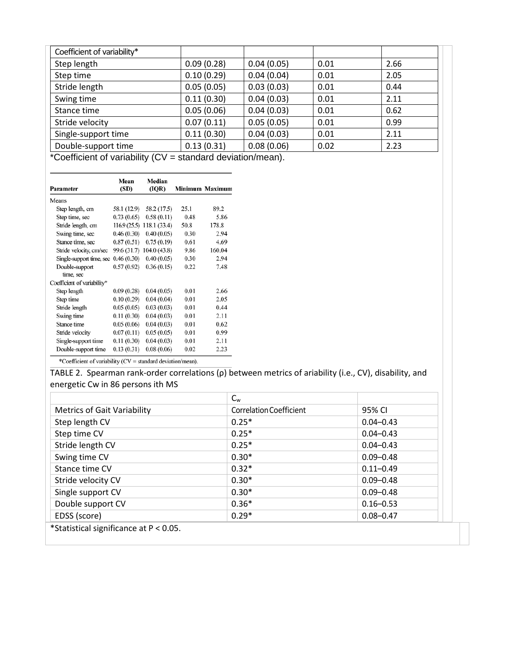| Coefficient of variability* |            |            |      |      |
|-----------------------------|------------|------------|------|------|
| Step length                 | 0.09(0.28) | 0.04(0.05) | 0.01 | 2.66 |
| Step time                   | 0.10(0.29) | 0.04(0.04) | 0.01 | 2.05 |
| Stride length               | 0.05(0.05) | 0.03(0.03) | 0.01 | 0.44 |
| Swing time                  | 0.11(0.30) | 0.04(0.03) | 0.01 | 2.11 |
| Stance time                 | 0.05(0.06) | 0.04(0.03) | 0.01 | 0.62 |
| Stride velocity             | 0.07(0.11) | 0.05(0.05) | 0.01 | 0.99 |
| Single-support time         | 0.11(0.30) | 0.04(0.03) | 0.01 | 2.11 |
| Double-support time         | 0.13(0.31) | 0.08(0.06) | 0.02 | 2.23 |

\*Coefficient of variability (CV = standard deviation/mean).

| Parameter                                                                                                                                                                                                                                                                                                                                                                                                                                                                                                                                                           | Mean<br>(SD) | Median<br>(IQR) |      | Minimum Maximum |
|---------------------------------------------------------------------------------------------------------------------------------------------------------------------------------------------------------------------------------------------------------------------------------------------------------------------------------------------------------------------------------------------------------------------------------------------------------------------------------------------------------------------------------------------------------------------|--------------|-----------------|------|-----------------|
| Means                                                                                                                                                                                                                                                                                                                                                                                                                                                                                                                                                               |              |                 |      |                 |
| Step length, cm                                                                                                                                                                                                                                                                                                                                                                                                                                                                                                                                                     | 58.1 (12.9)  | 58.2 (17.5)     | 25.1 | 89.2            |
| Step time, sec                                                                                                                                                                                                                                                                                                                                                                                                                                                                                                                                                      | 0.73(0.65)   | 0.58(0.11)      | 0.48 | 5.86            |
| Stride length, cm                                                                                                                                                                                                                                                                                                                                                                                                                                                                                                                                                   | 116.9(25.5)  | 118.1 (33.4)    | 50.8 | 178.8           |
| Swing time, sec                                                                                                                                                                                                                                                                                                                                                                                                                                                                                                                                                     | 0.46(0.30)   | 0.40(0.05)      | 0.30 | 2.94            |
| Stance time, sec                                                                                                                                                                                                                                                                                                                                                                                                                                                                                                                                                    | 0.87(0.51)   | 0.75(0.19)      | 0.61 | 4.69            |
| Stride velocity, cm/sec                                                                                                                                                                                                                                                                                                                                                                                                                                                                                                                                             | 99.6 (31.7)  | 104.0 (43.8)    | 9.86 | 160.04          |
| Single-support time, sec                                                                                                                                                                                                                                                                                                                                                                                                                                                                                                                                            | 0.46(0.30)   | 0.40(0.05)      | 0.30 | 2.94            |
| Double-support<br>time, sec                                                                                                                                                                                                                                                                                                                                                                                                                                                                                                                                         | 0.57(0.92)   | 0.36(0.15)      | 0.22 | 7.48            |
| Coefficient of variability*                                                                                                                                                                                                                                                                                                                                                                                                                                                                                                                                         |              |                 |      |                 |
| Step length                                                                                                                                                                                                                                                                                                                                                                                                                                                                                                                                                         | 0.09(0.28)   | 0.04(0.05)      | 0.01 | 2.66            |
| Step time                                                                                                                                                                                                                                                                                                                                                                                                                                                                                                                                                           | 0.10(0.29)   | 0.04(0.04)      | 0.01 | 2.05            |
| Stride length                                                                                                                                                                                                                                                                                                                                                                                                                                                                                                                                                       | 0.05(0.05)   | 0.03(0.03)      | 0.01 | 0.44            |
| Swing time                                                                                                                                                                                                                                                                                                                                                                                                                                                                                                                                                          | 0.11(0.30)   | 0.04(0.03)      | 0.01 | 2.11            |
| Stance time                                                                                                                                                                                                                                                                                                                                                                                                                                                                                                                                                         | 0.05(0.06)   | 0.04(0.03)      | 0.01 | 0.62            |
| Stride velocity                                                                                                                                                                                                                                                                                                                                                                                                                                                                                                                                                     | 0.07(0.11)   | 0.05(0.05)      | 0.01 | 0.99            |
| Single-support time                                                                                                                                                                                                                                                                                                                                                                                                                                                                                                                                                 | 0.11(0.30)   | 0.04(0.03)      | 0.01 | 2.11            |
| Double-support time<br>$\mathcal{A} \times \mathcal{B} \times \mathcal{B} \times \mathcal{B} \times \mathcal{B} \times \mathcal{B} \times \mathcal{B} \times \mathcal{B} \times \mathcal{B} \times \mathcal{B} \times \mathcal{B} \times \mathcal{B} \times \mathcal{B} \times \mathcal{B} \times \mathcal{B} \times \mathcal{B} \times \mathcal{B} \times \mathcal{B} \times \mathcal{B} \times \mathcal{B} \times \mathcal{B} \times \mathcal{B} \times \mathcal{B} \times \mathcal{B} \times \mathcal{B} \times \mathcal{B} \times \mathcal{B} \times \mathcal{$ | 0.13(0.31)   | 0.08(0.06)      | 0.02 | 2.23            |

\*Coefficient of variability (CV = standard deviation/mean).

TABLE 2. Spearman rank-order correlations (ρ) between metrics of ariability (i.e., CV), disability, and energetic Cw in 86 persons ith MS

|                                    | $C_{w}$                 |               |
|------------------------------------|-------------------------|---------------|
| <b>Metrics of Gait Variability</b> | Correlation Coefficient | 95% CI        |
| Step length CV                     | $0.25*$                 | $0.04 - 0.43$ |
| Step time CV                       | $0.25*$                 | $0.04 - 0.43$ |
| Stride length CV                   | $0.25*$                 | $0.04 - 0.43$ |
| Swing time CV                      | $0.30*$                 | $0.09 - 0.48$ |
| Stance time CV                     | $0.32*$                 | $0.11 - 0.49$ |
| Stride velocity CV                 | $0.30*$                 | $0.09 - 0.48$ |
| Single support CV                  | $0.30*$                 | $0.09 - 0.48$ |
| Double support CV                  | $0.36*$                 | $0.16 - 0.53$ |
| EDSS (score)                       | $0.29*$                 | $0.08 - 0.47$ |

\*Statistical significance at P < 0.05.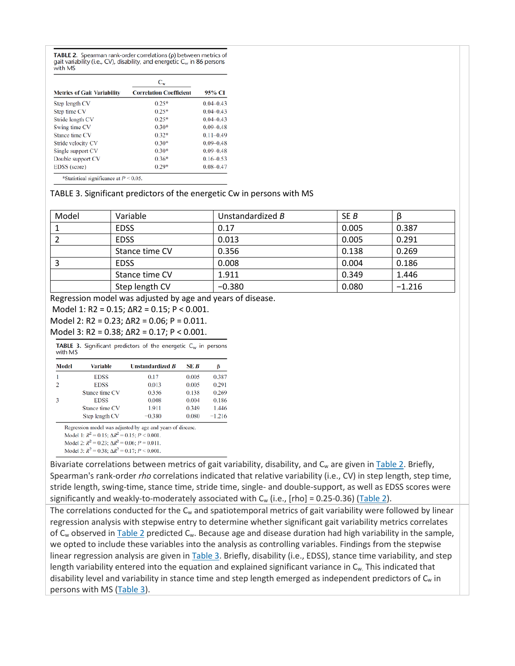TABLE 2. Spearman rank-order correlations (p) between metrics of gait variability (i.e., CV), disability, and energetic  $C_w$  in 86 persons with MS

|                                    | $C_{w}$                        |               |  |
|------------------------------------|--------------------------------|---------------|--|
| <b>Metrics of Gait Variability</b> | <b>Correlation Coefficient</b> | 95% CI        |  |
| Step length CV                     | $0.25*$                        | $0.04 - 0.43$ |  |
| Step time CV                       | $0.25*$                        | $0.04 - 0.43$ |  |
| Stride length CV                   | $0.25*$                        | $0.04 - 0.43$ |  |
| Swing time CV                      | $0.30*$                        | $0.09 - 0.48$ |  |
| Stance time CV                     | $0.32*$                        | $0.11 - 0.49$ |  |
| Stride velocity CV                 | $0.30*$                        | $0.09 - 0.48$ |  |
| Single support CV                  | $0.30*$                        | $0.09 - 0.48$ |  |
| Double support CV                  | $0.36*$                        | $0.16 - 0.53$ |  |
| EDSS (score)                       | $0.29*$                        | $0.08 - 0.47$ |  |

#### TABLE 3. Significant predictors of the energetic Cw in persons with MS

| Model | Variable       | Unstandardized B | SE B  |          |
|-------|----------------|------------------|-------|----------|
|       | <b>EDSS</b>    | 0.17             | 0.005 | 0.387    |
|       | <b>EDSS</b>    | 0.013            | 0.005 | 0.291    |
|       | Stance time CV | 0.356            | 0.138 | 0.269    |
|       | <b>EDSS</b>    | 0.008            | 0.004 | 0.186    |
|       | Stance time CV | 1.911            | 0.349 | 1.446    |
|       | Step length CV | $-0.380$         | 0.080 | $-1.216$ |

Regression model was adjusted by age and years of disease.

Model 1: R2 = 0.15; ΔR2 = 0.15; P < 0.001.

Model 2:  $R2 = 0.23$ ;  $\Delta R2 = 0.06$ ;  $P = 0.011$ .

Model 3: R2 = 0.38; ΔR2 = 0.17; P < 0.001.

**TABLE 3.** Significant predictors of the energetic  $C_w$  in persons with MS

| Model | <b>Variable</b> | <b>Unstandardized B</b> | SE B  | β        |
|-------|-----------------|-------------------------|-------|----------|
|       | <b>EDSS</b>     | 0.17                    | 0.005 | 0.387    |
| 2     | <b>EDSS</b>     | 0.013                   | 0.005 | 0.291    |
|       | Stance time CV  | 0.356                   | 0.138 | 0.269    |
| 3     | <b>EDSS</b>     | 0.008                   | 0.004 | 0.186    |
|       | Stance time CV  | 1.911                   | 0.349 | 1.446    |
|       | Step length CV  | $-0.380$                | 0.080 | $-1.216$ |

Regression model was adjusted by age and years of disease.

Model 3:  $R^2 = 0.38$ ;  $\Delta R^2 = 0.17$ ;  $P \le 0.001$ .

Bivariate correlations between metrics of gait variability, disability, and C<sub>w</sub> are given in [Table 2.](http://0-ovidsp.dc2.ovid.com.libus.csd.mu.edu/sp-4.02.1a/ovidweb.cgi?&S=GEDDFPAOPMEBBGFJIPCKAGOGGNLJAA00&Link+Set=S.sh.22.23.27.31%7c5%7csl_10&Counter5=TOC_article%7c00002060-201809000-00005%7covft%7covftdb%7covftt#TT2) Briefly, Spearman's rank-order *rho* correlations indicated that relative variability (i.e., CV) in step length, step time, stride length, swing-time, stance time, stride time, single- and double-support, as well as EDSS scores were significantly and weakly-to-moderately associated with  $C_w$  (i.e., [rho] = 0.25-0.36) [\(Table 2\)](http://0-ovidsp.dc2.ovid.com.libus.csd.mu.edu/sp-4.02.1a/ovidweb.cgi?&S=GEDDFPAOPMEBBGFJIPCKAGOGGNLJAA00&Link+Set=S.sh.22.23.27.31%7c5%7csl_10&Counter5=TOC_article%7c00002060-201809000-00005%7covft%7covftdb%7covftt#TT2).

The correlations conducted for the  $C_w$  and spatiotemporal metrics of gait variability were followed by linear regression analysis with stepwise entry to determine whether significant gait variability metrics correlates of  $C_w$  observed in [Table 2](http://0-ovidsp.dc2.ovid.com.libus.csd.mu.edu/sp-4.02.1a/ovidweb.cgi?&S=GEDDFPAOPMEBBGFJIPCKAGOGGNLJAA00&Link+Set=S.sh.22.23.27.31%7c5%7csl_10&Counter5=TOC_article%7c00002060-201809000-00005%7covft%7covftdb%7covftt#TT2) predicted  $C_w$ . Because age and disease duration had high variability in the sample, we opted to include these variables into the analysis as controlling variables. Findings from the stepwise linear regression analysis are given in [Table 3.](http://0-ovidsp.dc2.ovid.com.libus.csd.mu.edu/sp-4.02.1a/ovidweb.cgi?&S=GEDDFPAOPMEBBGFJIPCKAGOGGNLJAA00&Link+Set=S.sh.22.23.27.31%7c5%7csl_10&Counter5=TOC_article%7c00002060-201809000-00005%7covft%7covftdb%7covftt#TT3) Briefly, disability (i.e., EDSS), stance time variability, and step length variability entered into the equation and explained significant variance in C<sub>w.</sub> This indicated that disability level and variability in stance time and step length emerged as independent predictors of  $C_w$  in persons with MS [\(Table 3\)](http://0-ovidsp.dc2.ovid.com.libus.csd.mu.edu/sp-4.02.1a/ovidweb.cgi?&S=GEDDFPAOPMEBBGFJIPCKAGOGGNLJAA00&Link+Set=S.sh.22.23.27.31%7c5%7csl_10&Counter5=TOC_article%7c00002060-201809000-00005%7covft%7covftdb%7covftt#TT3).

Model 1:  $R^2 = 0.15$ ;  $\Delta R^2 = 0.15$ ;  $P \le 0.001$ . Model 2:  $R^2 = 0.23$ ;  $\Delta R^2 = 0.06$ ;  $P = 0.011$ .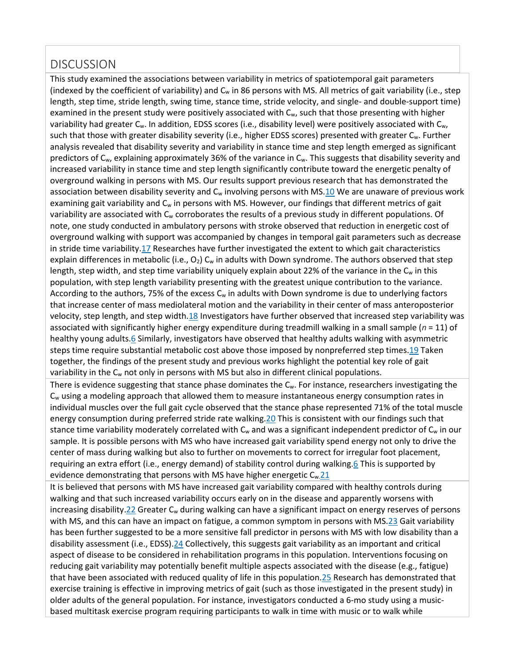# **DISCUSSION**

This study examined the associations between variability in metrics of spatiotemporal gait parameters (indexed by the coefficient of variability) and  $C_w$  in 86 persons with MS. All metrics of gait variability (i.e., step length, step time, stride length, swing time, stance time, stride velocity, and single- and double-support time) examined in the present study were positively associated with  $C_w$ , such that those presenting with higher variability had greater  $C_w$ . In addition, EDSS scores (i.e., disability level) were positively associated with  $C_w$ , such that those with greater disability severity (i.e., higher EDSS scores) presented with greater C<sub>w</sub>. Further analysis revealed that disability severity and variability in stance time and step length emerged as significant predictors of  $C_w$ , explaining approximately 36% of the variance in  $C_w$ . This suggests that disability severity and increased variability in stance time and step length significantly contribute toward the energetic penalty of overground walking in persons with MS. Our results support previous research that has demonstrated the association between disability severity and  $C_w$  involving persons with M[S.10](http://0-ovidsp.dc2.ovid.com.libus.csd.mu.edu/sp-4.02.1a/ovidweb.cgi?&S=GEDDFPAOPMEBBGFJIPCKAGOGGNLJAA00&Link+Set=S.sh.22.23.27.31%7c5%7csl_10&Counter5=TOC_article%7c00002060-201809000-00005%7covft%7covftdb%7covftt#58) We are unaware of previous work examining gait variability and  $C_w$  in persons with MS. However, our findings that different metrics of gait variability are associated with  $C_w$  corroborates the results of a previous study in different populations. Of note, one study conducted in ambulatory persons with stroke observed that reduction in energetic cost of overground walking with support was accompanied by changes in temporal gait parameters such as decrease in stride time variability[.17](http://0-ovidsp.dc2.ovid.com.libus.csd.mu.edu/sp-4.02.1a/ovidweb.cgi?&S=GEDDFPAOPMEBBGFJIPCKAGOGGNLJAA00&Link+Set=S.sh.22.23.27.31%7c5%7csl_10&Counter5=TOC_article%7c00002060-201809000-00005%7covft%7covftdb%7covftt#65) Researches have further investigated the extent to which gait characteristics explain differences in metabolic (i.e.,  $O_2$ ) C<sub>w</sub> in adults with Down syndrome. The authors observed that step length, step width, and step time variability uniquely explain about 22% of the variance in the  $C_w$  in this population, with step length variability presenting with the greatest unique contribution to the variance. According to the authors, 75% of the excess  $C_w$  in adults with Down syndrome is due to underlying factors that increase center of mass mediolateral motion and the variability in their center of mass anteroposterior velocity, step length, and step width[.18](http://0-ovidsp.dc2.ovid.com.libus.csd.mu.edu/sp-4.02.1a/ovidweb.cgi?&S=GEDDFPAOPMEBBGFJIPCKAGOGGNLJAA00&Link+Set=S.sh.22.23.27.31%7c5%7csl_10&Counter5=TOC_article%7c00002060-201809000-00005%7covft%7covftdb%7covftt#66) Investigators have further observed that increased step variability was associated with significantly higher energy expenditure during treadmill walking in a small sample (*n* = 11) of healthy young adult[s.6](http://0-ovidsp.dc2.ovid.com.libus.csd.mu.edu/sp-4.02.1a/ovidweb.cgi?&S=GEDDFPAOPMEBBGFJIPCKAGOGGNLJAA00&Link+Set=S.sh.22.23.27.31%7c5%7csl_10&Counter5=TOC_article%7c00002060-201809000-00005%7covft%7covftdb%7covftt#54) Similarly, investigators have observed that healthy adults walking with asymmetric steps time require substantial metabolic cost above those imposed by nonpreferred step times[.19](http://0-ovidsp.dc2.ovid.com.libus.csd.mu.edu/sp-4.02.1a/ovidweb.cgi?&S=GEDDFPAOPMEBBGFJIPCKAGOGGNLJAA00&Link+Set=S.sh.22.23.27.31%7c5%7csl_10&Counter5=TOC_article%7c00002060-201809000-00005%7covft%7covftdb%7covftt#67) Taken together, the findings of the present study and previous works highlight the potential key role of gait variability in the  $C_w$  not only in persons with MS but also in different clinical populations.

There is evidence suggesting that stance phase dominates the  $C_w$ . For instance, researchers investigating the  $C_w$  using a modeling approach that allowed them to measure instantaneous energy consumption rates in individual muscles over the full gait cycle observed that the stance phase represented 71% of the total muscle energy consumption during preferred stride rate walking[.20](http://0-ovidsp.dc2.ovid.com.libus.csd.mu.edu/sp-4.02.1a/ovidweb.cgi?&S=GEDDFPAOPMEBBGFJIPCKAGOGGNLJAA00&Link+Set=S.sh.22.23.27.31%7c5%7csl_10&Counter5=TOC_article%7c00002060-201809000-00005%7covft%7covftdb%7covftt#68) This is consistent with our findings such that stance time variability moderately correlated with  $C_w$  and was a significant independent predictor of  $C_w$  in our sample. It is possible persons with MS who have increased gait variability spend energy not only to drive the center of mass during walking but also to further on movements to correct for irregular foot placement, requiring an extra effort (i.e., energy demand) of stability control during walking[.6](http://0-ovidsp.dc2.ovid.com.libus.csd.mu.edu/sp-4.02.1a/ovidweb.cgi?&S=GEDDFPAOPMEBBGFJIPCKAGOGGNLJAA00&Link+Set=S.sh.22.23.27.31%7c5%7csl_10&Counter5=TOC_article%7c00002060-201809000-00005%7covft%7covftdb%7covftt#54) This is supported by evidence demonstrating that persons with MS have higher energetic  $C_w$ . 21

It is believed that persons with MS have increased gait variability compared with healthy controls during walking and that such increased variability occurs early on in the disease and apparently worsens with increasing disability[.22](http://0-ovidsp.dc2.ovid.com.libus.csd.mu.edu/sp-4.02.1a/ovidweb.cgi?&S=GEDDFPAOPMEBBGFJIPCKAGOGGNLJAA00&Link+Set=S.sh.22.23.27.31%7c5%7csl_10&Counter5=TOC_article%7c00002060-201809000-00005%7covft%7covftdb%7covftt#70) Greater  $C_w$  during walking can have a significant impact on energy reserves of persons with MS, and this can have an impact on fatigue, a common symptom in persons with MS[.23](http://0-ovidsp.dc2.ovid.com.libus.csd.mu.edu/sp-4.02.1a/ovidweb.cgi?&S=GEDDFPAOPMEBBGFJIPCKAGOGGNLJAA00&Link+Set=S.sh.22.23.27.31%7c5%7csl_10&Counter5=TOC_article%7c00002060-201809000-00005%7covft%7covftdb%7covftt#71) Gait variability has been further suggested to be a more sensitive fall predictor in persons with MS with low disability than a disability assessment (i.e., EDSS)[.24](http://0-ovidsp.dc2.ovid.com.libus.csd.mu.edu/sp-4.02.1a/ovidweb.cgi?&S=GEDDFPAOPMEBBGFJIPCKAGOGGNLJAA00&Link+Set=S.sh.22.23.27.31%7c5%7csl_10&Counter5=TOC_article%7c00002060-201809000-00005%7covft%7covftdb%7covftt#72) Collectively, this suggests gait variability as an important and critical aspect of disease to be considered in rehabilitation programs in this population. Interventions focusing on reducing gait variability may potentially benefit multiple aspects associated with the disease (e.g., fatigue) that have been associated with reduced quality of life in this population[.25](http://0-ovidsp.dc2.ovid.com.libus.csd.mu.edu/sp-4.02.1a/ovidweb.cgi?&S=GEDDFPAOPMEBBGFJIPCKAGOGGNLJAA00&Link+Set=S.sh.22.23.27.31%7c5%7csl_10&Counter5=TOC_article%7c00002060-201809000-00005%7covft%7covftdb%7covftt#73) Research has demonstrated that exercise training is effective in improving metrics of gait (such as those investigated in the present study) in older adults of the general population. For instance, investigators conducted a 6-mo study using a musicbased multitask exercise program requiring participants to walk in time with music or to walk while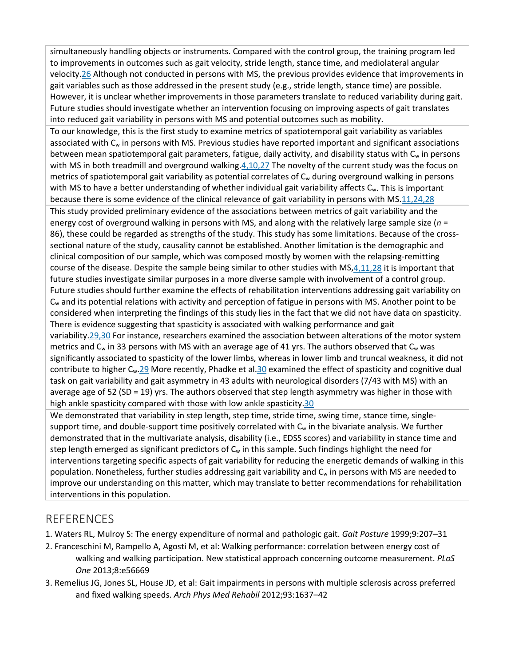simultaneously handling objects or instruments. Compared with the control group, the training program led to improvements in outcomes such as gait velocity, stride length, stance time, and mediolateral angular velocity[.26](http://0-ovidsp.dc2.ovid.com.libus.csd.mu.edu/sp-4.02.1a/ovidweb.cgi?&S=GEDDFPAOPMEBBGFJIPCKAGOGGNLJAA00&Link+Set=S.sh.22.23.27.31%7c5%7csl_10&Counter5=TOC_article%7c00002060-201809000-00005%7covft%7covftdb%7covftt#74) Although not conducted in persons with MS, the previous provides evidence that improvements in gait variables such as those addressed in the present study (e.g., stride length, stance time) are possible. However, it is unclear whether improvements in those parameters translate to reduced variability during gait. Future studies should investigate whether an intervention focusing on improving aspects of gait translates into reduced gait variability in persons with MS and potential outcomes such as mobility.

To our knowledge, this is the first study to examine metrics of spatiotemporal gait variability as variables associated with C<sub>w</sub> in persons with MS. Previous studies have reported important and significant associations between mean spatiotemporal gait parameters, fatigue, daily activity, and disability status with C<sub>w</sub> in persons with MS in both treadmill and overground walking. $4,10,27$  The novelty of the current study was the focus on metrics of spatiotemporal gait variability as potential correlates of  $C_w$  during overground walking in persons with MS to have a better understanding of whether individual gait variability affects  $C_w$ . This is important because there is some evidence of the clinical relevance of gait variability in persons with MS[.11,24,28](http://0-ovidsp.dc2.ovid.com.libus.csd.mu.edu/sp-4.02.1a/ovidweb.cgi?&S=GEDDFPAOPMEBBGFJIPCKAGOGGNLJAA00&Link+Set=S.sh.22.23.27.31%7c5%7csl_10&Counter5=TOC_article%7c00002060-201809000-00005%7covft%7covftdb%7covftt#59) This study provided preliminary evidence of the associations between metrics of gait variability and the energy cost of overground walking in persons with MS, and along with the relatively large sample size (*n* = 86), these could be regarded as strengths of the study. This study has some limitations. Because of the crosssectional nature of the study, causality cannot be established. Another limitation is the demographic and clinical composition of our sample, which was composed mostly by women with the relapsing-remitting course of the disease. Despite the sample being similar to other studies with MS[,4,11,28](http://0-ovidsp.dc2.ovid.com.libus.csd.mu.edu/sp-4.02.1a/ovidweb.cgi?&S=GEDDFPAOPMEBBGFJIPCKAGOGGNLJAA00&Link+Set=S.sh.22.23.27.31%7c5%7csl_10&Counter5=TOC_article%7c00002060-201809000-00005%7covft%7covftdb%7covftt#52) it is important that future studies investigate similar purposes in a more diverse sample with involvement of a control group. Future studies should further examine the effects of rehabilitation interventions addressing gait variability on  $C_w$  and its potential relations with activity and perception of fatigue in persons with MS. Another point to be considered when interpreting the findings of this study lies in the fact that we did not have data on spasticity. There is evidence suggesting that spasticity is associated with walking performance and gait variability[.29,30](http://0-ovidsp.dc2.ovid.com.libus.csd.mu.edu/sp-4.02.1a/ovidweb.cgi?&S=GEDDFPAOPMEBBGFJIPCKAGOGGNLJAA00&Link+Set=S.sh.22.23.27.31%7c5%7csl_10&Counter5=TOC_article%7c00002060-201809000-00005%7covft%7covftdb%7covftt#77) For instance, researchers examined the association between alterations of the motor system metrics and  $C_w$  in 33 persons with MS with an average age of 41 yrs. The authors observed that  $C_w$  was significantly associated to spasticity of the lower limbs, whereas in lower limb and truncal weakness, it did not contribute to higher C<sub>w</sub>[.29](http://0-ovidsp.dc2.ovid.com.libus.csd.mu.edu/sp-4.02.1a/ovidweb.cgi?&S=GEDDFPAOPMEBBGFJIPCKAGOGGNLJAA00&Link+Set=S.sh.22.23.27.31%7c5%7csl_10&Counter5=TOC_article%7c00002060-201809000-00005%7covft%7covftdb%7covftt#77) More recently, Phadke et al[.30](http://0-ovidsp.dc2.ovid.com.libus.csd.mu.edu/sp-4.02.1a/ovidweb.cgi?&S=GEDDFPAOPMEBBGFJIPCKAGOGGNLJAA00&Link+Set=S.sh.22.23.27.31%7c5%7csl_10&Counter5=TOC_article%7c00002060-201809000-00005%7covft%7covftdb%7covftt#78) examined the effect of spasticity and cognitive dual task on gait variability and gait asymmetry in 43 adults with neurological disorders (7/43 with MS) with an average age of 52 (SD = 19) yrs. The authors observed that step length asymmetry was higher in those with high ankle spasticity compared with those with low ankle spasticity[.30](http://0-ovidsp.dc2.ovid.com.libus.csd.mu.edu/sp-4.02.1a/ovidweb.cgi?&S=GEDDFPAOPMEBBGFJIPCKAGOGGNLJAA00&Link+Set=S.sh.22.23.27.31%7c5%7csl_10&Counter5=TOC_article%7c00002060-201809000-00005%7covft%7covftdb%7covftt#78)

We demonstrated that variability in step length, step time, stride time, swing time, stance time, singlesupport time, and double-support time positively correlated with  $C_w$  in the bivariate analysis. We further demonstrated that in the multivariate analysis, disability (i.e., EDSS scores) and variability in stance time and step length emerged as significant predictors of  $C_w$  in this sample. Such findings highlight the need for interventions targeting specific aspects of gait variability for reducing the energetic demands of walking in this population. Nonetheless, further studies addressing gait variability and C<sub>w</sub> in persons with MS are needed to improve our understanding on this matter, which may translate to better recommendations for rehabilitation interventions in this population.

# **REFERENCES**

- 1. Waters RL, Mulroy S: The energy expenditure of normal and pathologic gait. *Gait Posture* 1999;9:207–31
- 2. Franceschini M, Rampello A, Agosti M, et al: Walking performance: correlation between energy cost of walking and walking participation. New statistical approach concerning outcome measurement. *PLoS One* 2013;8:e56669
- 3. Remelius JG, Jones SL, House JD, et al: Gait impairments in persons with multiple sclerosis across preferred and fixed walking speeds. *Arch Phys Med Rehabil* 2012;93:1637–42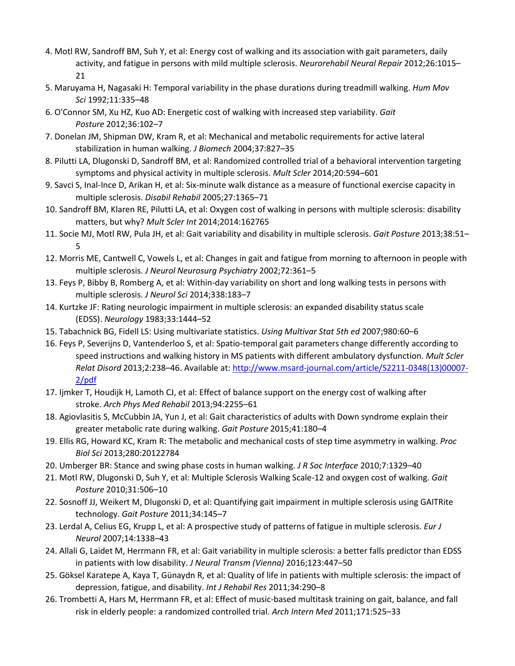- 4. Motl RW, Sandroff BM, Suh Y, et al: Energy cost of walking and its association with gait parameters, daily activity, and fatigue in persons with mild multiple sclerosis. *Neurorehabil Neural Repair* 2012;26:1015– 21
- 5. Maruyama H, Nagasaki H: Temporal variability in the phase durations during treadmill walking. *Hum Mov Sci* 1992;11:335–48
- 6. O'Connor SM, Xu HZ, Kuo AD: Energetic cost of walking with increased step variability. *Gait Posture* 2012;36:102–7
- 7. Donelan JM, Shipman DW, Kram R, et al: Mechanical and metabolic requirements for active lateral stabilization in human walking. *J Biomech* 2004;37:827–35
- 8. Pilutti LA, Dlugonski D, Sandroff BM, et al: Randomized controlled trial of a behavioral intervention targeting symptoms and physical activity in multiple sclerosis. *Mult Scler* 2014;20:594–601
- 9. Savci S, Inal-Ince D, Arikan H, et al: Six-minute walk distance as a measure of functional exercise capacity in multiple sclerosis. *Disabil Rehabil* 2005;27:1365–71
- 10. Sandroff BM, Klaren RE, Pilutti LA, et al: Oxygen cost of walking in persons with multiple sclerosis: disability matters, but why? *Mult Scler Int* 2014;2014:162765
- 11. Socie MJ, Motl RW, Pula JH, et al: Gait variability and disability in multiple sclerosis. *Gait Posture* 2013;38:51– 5
- 12. Morris ME, Cantwell C, Vowels L, et al: Changes in gait and fatigue from morning to afternoon in people with multiple sclerosis. *J Neurol Neurosurg Psychiatry* 2002;72:361–5
- 13. Feys P, Bibby B, Romberg A, et al: Within-day variability on short and long walking tests in persons with multiple sclerosis. *J Neurol Sci* 2014;338:183–7
- 14. Kurtzke JF: Rating neurologic impairment in multiple sclerosis: an expanded disability status scale (EDSS). *Neurology* 1983;33:1444–52
- 15. Tabachnick BG, Fidell LS: Using multivariate statistics. *Using Multivar Stat 5th ed* 2007;980:60–6
- 16. Feys P, Severijns D, Vantenderloo S, et al: Spatio-temporal gait parameters change differently according to speed instructions and walking history in MS patients with different ambulatory dysfunction. *Mult Scler Relat Disord* 2013;2:238–46. Available at: [http://www.msard-journal.com/article/S2211-0348\(13\)00007-](http://www.msard-journal.com/article/S2211-0348(13)00007-2/pdf) [2/pdf](http://www.msard-journal.com/article/S2211-0348(13)00007-2/pdf)
- 17. Ijmker T, Houdijk H, Lamoth CJ, et al: Effect of balance support on the energy cost of walking after stroke. *Arch Phys Med Rehabil* 2013;94:2255–61
- 18. Agiovlasitis S, McCubbin JA, Yun J, et al: Gait characteristics of adults with Down syndrome explain their greater metabolic rate during walking. *Gait Posture* 2015;41:180–4
- 19. Ellis RG, Howard KC, Kram R: The metabolic and mechanical costs of step time asymmetry in walking. *Proc Biol Sci* 2013;280:20122784
- 20. Umberger BR: Stance and swing phase costs in human walking. *J R Soc Interface* 2010;7:1329–40
- 21. Motl RW, Dlugonski D, Suh Y, et al: Multiple Sclerosis Walking Scale-12 and oxygen cost of walking. *Gait Posture* 2010;31:506–10
- 22. Sosnoff JJ, Weikert M, Dlugonski D, et al: Quantifying gait impairment in multiple sclerosis using GAITRite technology. *Gait Posture* 2011;34:145–7
- 23. Lerdal A, Celius EG, Krupp L, et al: A prospective study of patterns of fatigue in multiple sclerosis. *Eur J Neurol* 2007;14:1338–43
- 24. Allali G, Laidet M, Herrmann FR, et al: Gait variability in multiple sclerosis: a better falls predictor than EDSS in patients with low disability. *J Neural Transm (Vienna)* 2016;123:447–50
- 25. Göksel Karatepe A, Kaya T, Günaydn R, et al: Quality of life in patients with multiple sclerosis: the impact of depression, fatigue, and disability. *Int J Rehabil Res* 2011;34:290–8
- 26. Trombetti A, Hars M, Herrmann FR, et al: Effect of music-based multitask training on gait, balance, and fall risk in elderly people: a randomized controlled trial. *Arch Intern Med* 2011;171:525–33